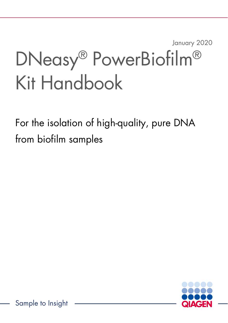# January 2020 DNeasy® PowerBiofilm® Kit Handbook

For the isolation of high-quality, pure DNA from biofilm samples

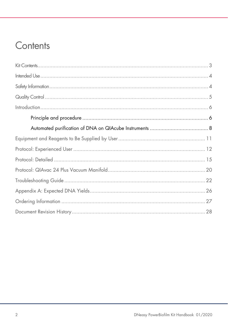### Contents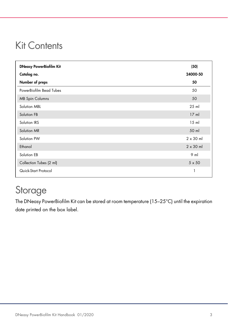### Kit Contents

| <b>DNeasy PowerBiofilm Kit</b> | (50)             |
|--------------------------------|------------------|
| Catalog no.                    | 24000-50         |
| Number of preps                | 50               |
| PowerBiofilm Bead Tubes        | 50               |
| <b>MB Spin Columns</b>         | 50               |
| Solution MBL                   | $25$ m           |
| Solution FB                    | $17$ ml          |
| Solution IRS                   | $15$ m           |
| Solution MR                    | 50 ml            |
| Solution PW                    | $2 \times 30$ ml |
| Ethanol                        | $2 \times 30$ ml |
| Solution EB                    | 9 <sub>m</sub>   |
| Collection Tubes (2 ml)        | $5 \times 50$    |
| Quick-Start Protocol           | 1                |

### Storage

The DNeasy PowerBiofilm Kit can be stored at room temperature (15–25°C) until the expiration date printed on the box label.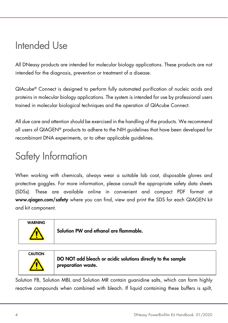### Intended Use

All DNeasy products are intended for molecular biology applications. These products are not intended for the diagnosis, prevention or treatment of a disease.

QIAcube® Connect is designed to perform fully automated purification of nucleic acids and proteins in molecular biology applications. The system is intended for use by professional users trained in molecular biological techniques and the operation of QIAcube Connect.

All due care and attention should be exercised in the handling of the products. We recommend all users of QIAGEN® products to adhere to the NIH guidelines that have been developed for recombinant DNA experiments, or to other applicable guidelines.

### Safety Information

When working with chemicals, always wear a suitable lab coat, disposable gloves and protective goggles. For more information, please consult the appropriate safety data sheets (SDSs). These are available online in convenient and compact PDF format at www.qiagen.com/safety where you can find, view and print the SDS for each QIAGEN kit and kit component.





DO NOT add bleach or acidic solutions directly to the sample preparation waste.

Solution FB, Solution MBL and Solution MR contain guanidine salts, which can form highly reactive compounds when combined with bleach. If liquid containing these buffers is spilt,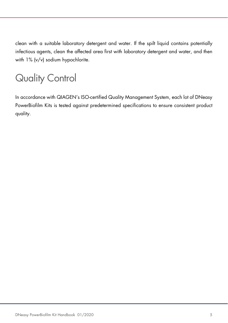clean with a suitable laboratory detergent and water. If the spilt liquid contains potentially infectious agents, clean the affected area first with laboratory detergent and water, and then with 1% (v/v) sodium hypochlorite.

## Quality Control

In accordance with QIAGEN's ISO-certified Quality Management System, each lot of DNeasy PowerBiofilm Kits is tested against predetermined specifications to ensure consistent product quality.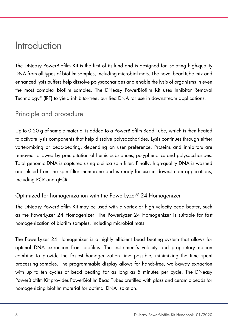### Introduction

The DNeasy PowerBiofilm Kit is the first of its kind and is designed for isolating high-quality DNA from all types of biofilm samples, including microbial mats. The novel bead tube mix and enhanced lysis buffers help dissolve polysaccharides and enable the lysis of organisms in even the most complex biofilm samples. The DNeasy PowerBiofilm Kit uses Inhibitor Removal Technology® (IRT) to yield inhibitor-free, purified DNA for use in downstream applications.

### Principle and procedure

Up to 0.20 g of sample material is added to a PowerBiofilm Bead Tube, which is then heated to activate lysis components that help dissolve polysaccharides. Lysis continues through either vortex-mixing or bead-beating, depending on user preference. Proteins and inhibitors are removed followed by precipitation of humic substances, polyphenolics and polysaccharides. Total genomic DNA is captured using a silica spin filter. Finally, high-quality DNA is washed and eluted from the spin filter membrane and is ready for use in downstream applications, including PCR and qPCR.

### Optimized for homogenization with the PowerLyzer® 24 Homogenizer

The DNeasy PowerBiofilm Kit may be used with a vortex or high velocity bead beater, such as the PowerLyzer 24 Homogenizer. The PowerLyzer 24 Homogenizer is suitable for fast homogenization of biofilm samples, including microbial mats.

The PowerLyzer 24 Homogenizer is a highly efficient bead beating system that allows for optimal DNA extraction from biofilms. The instrument's velocity and proprietary motion combine to provide the fastest homogenization time possible, minimizing the time spent processing samples. The programmable display allows for hands-free, walk-away extraction with up to ten cycles of bead beating for as long as 5 minutes per cycle. The DNeasy PowerBiofilm Kit provides PowerBiofilm Bead Tubes prefilled with glass and ceramic beads for homogenizing biofilm material for optimal DNA isolation.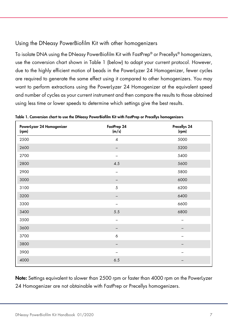### Using the DNeasy PowerBiofilm Kit with other homogenizers

To isolate DNA using the DNeasy PowerBiofilm Kit with FastPrep® or Precellys® homogenizers, use the conversion chart shown in Table 1 (below) to adapt your current protocol. However, due to the highly efficient motion of beads in the PowerLyzer 24 Homogenizer, fewer cycles are required to generate the same effect using it compared to other homogenizers. You may want to perform extractions using the PowerLyzer 24 Homogenizer at the equivalent speed and number of cycles as your current instrument and then compare the results to those obtained using less time or lower speeds to determine which settings give the best results.

| FastPrep 24<br>(m/s)     | Precellys 24<br>(rpm) |
|--------------------------|-----------------------|
| $\overline{4}$           | 5000                  |
| -                        | 5200                  |
|                          | 5400                  |
| 4.5                      | 5600                  |
| $\qquad \qquad -$        | 5800                  |
| -                        | 6000                  |
| 5                        | 6200                  |
| $\overline{\phantom{m}}$ | 6400                  |
|                          | 6600                  |
| 5.5                      | 6800                  |
|                          |                       |
|                          |                       |
| 6                        |                       |
|                          |                       |
|                          |                       |
| 6.5                      | -                     |
|                          |                       |

Table 1. Conversion chart to use the DNeasy PowerBiofilm Kit with FastPrep or Precellys homogenizers

Note: Settings equivalent to slower than 2500 rpm or faster than 4000 rpm on the PowerLyzer 24 Homogenizer are not obtainable with FastPrep or Precellys homogenizers.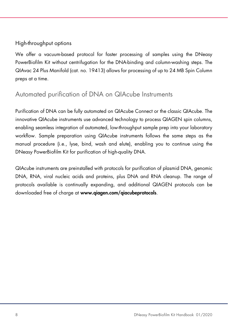### High-throughput options

We offer a vacuum-based protocol for faster processing of samples using the DNeasy PowerBiofilm Kit without centrifugation for the DNA-binding and column-washing steps. The QIAvac 24 Plus Manifold (cat. no. 19413) allows for processing of up to 24 MB Spin Column preps at a time.

### Automated purification of DNA on QIAcube Instruments

Purification of DNA can be fully automated on QIAcube Connect or the classic QIAcube. The innovative QIAcube instruments use advanced technology to process QIAGEN spin columns, enabling seamless integration of automated, low-throughput sample prep into your laboratory workflow. Sample preparation using QIAcube instruments follows the same steps as the manual procedure (i.e., lyse, bind, wash and elute), enabling you to continue using the DNeasy PowerBiofilm Kit for purification of high-quality DNA.

QIAcube instruments are preinstalled with protocols for purification of plasmid DNA, genomic DNA, RNA, viral nucleic acids and proteins, plus DNA and RNA cleanup. The range of protocols available is continually expanding, and additional QIAGEN protocols can be downloaded free of charge at www.qiagen.com/qiacubeprotocols.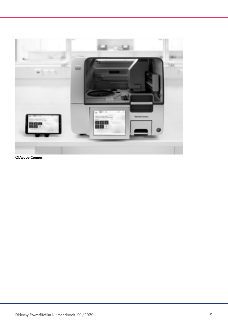

QIAcube Connect.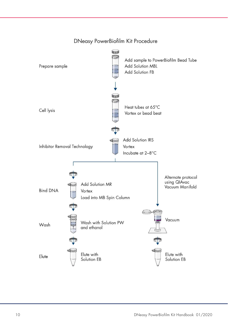

#### DNeasy PowerBiofilm Kit Procedure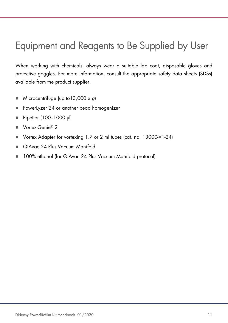### Equipment and Reagents to Be Supplied by User

When working with chemicals, always wear a suitable lab coat, disposable gloves and protective goggles. For more information, consult the appropriate safety data sheets (SDSs) available from the product supplier.

- Microcentrifuge (up to  $13,000 \times g$ )
- PowerLyzer 24 or another bead homogenizer
- Pipettor (100–1000 µl)
- Vortex-Genie<sup>®</sup> 2
- Vortex Adapter for vortexing 1.7 or 2 ml tubes (cat. no. 13000-V1-24)
- QIAvac 24 Plus Vacuum Manifold
- 100% ethanol (for QIAvac 24 Plus Vacuum Manifold protocol)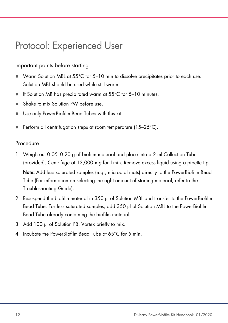### Protocol: Experienced User

#### Important points before starting

- Warm Solution MBL at 55°C for 5–10 min to dissolve precipitates prior to each use. Solution MBL should be used while still warm.
- If Solution MR has precipitated warm at  $55^{\circ}$ C for 5-10 minutes.
- Shake to mix Solution PW before use.
- Use only PowerBiofilm Bead Tubes with this kit.
- Perform all centrifugation steps at room temperature (15–25°C).

### Procedure

- 1. Weigh out 0.05–0.20 g of biofilm material and place into a 2 ml Collection Tube (provided). Centrifuge at  $13,000 \times q$  for 1 min. Remove excess liquid using a pipette tip. Note: Add less saturated samples (e.g., microbial mats) directly to the PowerBiofilm Bead Tube (For information on selecting the right amount of starting material, refer to the Troubleshooting Guide).
- 2. Resuspend the biofilm material in 350 µl of Solution MBL and transfer to the PowerBiofilm Bead Tube. For less saturated samples, add 350 µl of Solution MBL to the PowerBiofilm Bead Tube already containing the biofilm material.
- 3. Add 100 µl of Solution FB. Vortex briefly to mix.
- 4. Incubate the PowerBiofilm Bead Tube at 65°C for 5 min.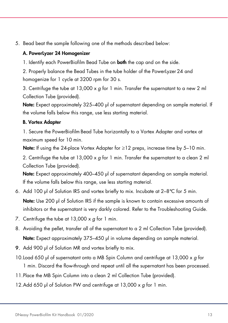5. Bead beat the sample following one of the methods described below:

#### A. PowerLyzer 24 Homogenizer

1. Identify each PowerBiofilm Bead Tube on **both** the cap and on the side.

2. Properly balance the Bead Tubes in the tube holder of the PowerLyzer 24 and homogenize for 1 cycle at 3200 rpm for 30 s.

3. Centrifuge the tube at 13,000  $\times$  a for 1 min. Transfer the supernatant to a new 2 ml Collection Tube (provided).

Note: Expect approximately 325–400 µl of supernatant depending on sample material. If the volume falls below this range, use less starting material.

#### B. Vortex Adapter

1. Secure the PowerBiofilm Bead Tube horizontally to a Vortex Adapter and vortex at maximum speed for 10 min.

**Note:** If using the 24-place Vortex Adapter for ≥12 preps, increase time by 5–10 min.

2. Centrifuge the tube at  $13,000 \times g$  for 1 min. Transfer the supernatant to a clean 2 ml Collection Tube (provided).

Note: Expect approximately 400–450 µl of supernatant depending on sample material. If the volume falls below this range, use less starting material.

6. Add 100 µl of Solution IRS and vortex briefly to mix. Incubate at 2–8°C for 5 min.

Note: Use 200 µl of Solution IRS if the sample is known to contain excessive amounts of inhibitors or the supernatant is very darkly colored. Refer to the Troubleshooting Guide.

- 7. Centrifuge the tube at 13,000 x g for 1 min.
- 8. Avoiding the pellet, transfer all of the supernatant to a 2 ml Collection Tube (provided). Note: Expect approximately 375–450 µl in volume depending on sample material.
- 9. Add 900 µl of Solution MR and vortex briefly to mix.
- 10.Load 650 µl of supernatant onto a MB Spin Column and centrifuge at 13,000 x g for
	- 1 min. Discard the flow-through and repeat until all the supernatant has been processed.
- 11.Place the MB Spin Column into a clean 2 ml Collection Tube (provided).
- 12. Add 650 µl of Solution PW and centrifuge at  $13,000 \times g$  for 1 min.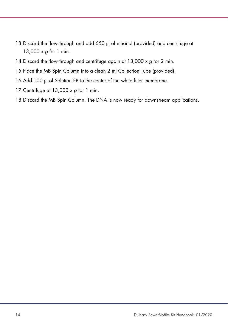- 13. Discard the flow-through and add 650 µl of ethanol (provided) and centrifuge at 13,000 x g for 1 min.
- 14. Discard the flow-through and centrifuge again at  $13,000 \times g$  for 2 min.
- 15.Place the MB Spin Column into a clean 2 ml Collection Tube (provided).
- 16.Add 100 µl of Solution EB to the center of the white filter membrane.
- 17. Centrifuge at 13,000  $\times$  g for 1 min.
- 18.Discard the MB Spin Column. The DNA is now ready for downstream applications.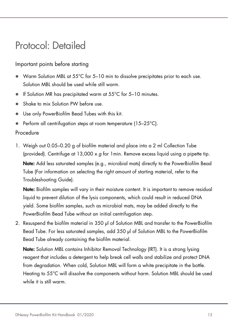### Protocol: Detailed

#### Important points before starting

- Warm Solution MBL at 55°C for 5–10 min to dissolve precipitates prior to each use. Solution MBL should be used while still warm.
- If Solution MR has precipitated warm at  $55^{\circ}$ C for 5-10 minutes.
- Shake to mix Solution PW before use.
- Use only PowerBiofilm Bead Tubes with this kit.
- Perform all centrifugation steps at room temperature (15–25°C).

### Procedure

1. Weigh out 0.05–0.20 g of biofilm material and place into a 2 ml Collection Tube (provided). Centrifuge at  $13,000 \times q$  for 1 min. Remove excess liquid using a pipette tip. Note: Add less saturated samples (e.g., microbial mats) directly to the PowerBiofilm Bead Tube (For information on selecting the right amount of starting material, refer to the Troubleshooting Guide).

Note: Biofilm samples will vary in their moisture content. It is important to remove residual liquid to prevent dilution of the lysis components, which could result in reduced DNA yield. Some biofilm samples, such as microbial mats, may be added directly to the PowerBiofilm Bead Tube without an initial centrifugation step.

2. Resuspend the biofilm material in 350 µl of Solution MBL and transfer to the PowerBiofilm Bead Tube. For less saturated samples, add 350 µl of Solution MBL to the PowerBiofilm Bead Tube already containing the biofilm material.

Note: Solution MBL contains Inhibitor Removal Technology (IRT). It is a strong lysing reagent that includes a detergent to help break cell walls and stabilize and protect DNA from degradation. When cold, Solution MBL will form a white precipitate in the bottle. Heating to 55°C will dissolve the components without harm. Solution MBL should be used while it is still warm.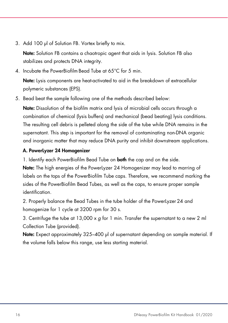3. Add 100 µl of Solution FB. Vortex briefly to mix.

Note: Solution FB contains a chaotropic agent that aids in lysis. Solution FB also stabilizes and protects DNA integrity.

4. Incubate the PowerBiofilm Bead Tube at 65°C for 5 min.

Note: Lysis components are heat-activated to aid in the breakdown of extracellular polymeric substances (EPS).

5. Bead beat the sample following one of the methods described below:

Note: Dissolution of the biofilm matrix and lysis of microbial cells occurs through a combination of chemical (lysis buffers) and mechanical (bead beating) lysis conditions. The resulting cell debris is pelleted along the side of the tube while DNA remains in the supernatant. This step is important for the removal of contaminating non-DNA organic and inorganic matter that may reduce DNA purity and inhibit downstream applications.

#### A. PowerLyzer 24 Homogenizer

1. Identify each PowerBiofilm Bead Tube on **both** the cap and on the side.

Note: The high energies of the PowerLyzer 24 Homogenizer may lead to marring of labels on the tops of the PowerBiofilm Tube caps. Therefore, we recommend marking the sides of the PowerBiofilm Bead Tubes, as well as the caps, to ensure proper sample identification.

2. Properly balance the Bead Tubes in the tube holder of the PowerLyzer 24 and homogenize for 1 cycle at 3200 rpm for 30 s.

3. Centrifuge the tube at  $13,000 \times g$  for 1 min. Transfer the supernatant to a new 2 ml Collection Tube (provided).

Note: Expect approximately 325–400 µl of supernatant depending on sample material. If the volume falls below this range, use less starting material.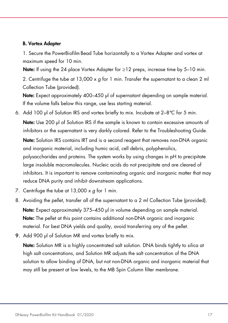#### B. Vortex Adapter

1. Secure the PowerBiofilm Bead Tube horizontally to a Vortex Adapter and vortex at maximum speed for 10 min.

**Note:** If using the 24 place Vortex Adapter for ≥12 preps, increase time by 5–10 min.

2. Centrifuge the tube at  $13,000 \times g$  for 1 min. Transfer the supernatant to a clean 2 ml Collection Tube (provided).

Note: Expect approximately 400–450 µl of supernatant depending on sample material. If the volume falls below this range, use less starting material.

6. Add 100 µl of Solution IRS and vortex briefly to mix. Incubate at 2–8°C for 5 min.

Note: Use 200 µl of Solution IRS if the sample is known to contain excessive amounts of inhibitors or the supernatant is very darkly colored. Refer to the Troubleshooting Guide.

Note: Solution IRS contains IRT and is a second reagent that removes non-DNA organic and inorganic material, including humic acid, cell debris, polyphenolics, polysaccharides and proteins. The system works by using changes in pH to precipitate large insoluble macromolecules. Nucleic acids do not precipitate and are cleared of inhibitors. It is important to remove contaminating organic and inorganic matter that may reduce DNA purity and inhibit downstream applications.

- 7. Centrifuge the tube at  $13,000 \times g$  for 1 min.
- 8. Avoiding the pellet, transfer all of the supernatant to a 2 ml Collection Tube (provided). Note: Expect approximately 375–450 µl in volume depending on sample material. Note: The pellet at this point contains additional non-DNA organic and inorganic material. For best DNA yields and quality, avoid transferring any of the pellet.
- 9. Add 900 µl of Solution MR and vortex briefly to mix.

Note: Solution MR is a highly concentrated salt solution. DNA binds tightly to silica at high salt concentrations, and Solution MR adjusts the salt concentration of the DNA solution to allow binding of DNA, but not non-DNA organic and inorganic material that may still be present at low levels, to the MB Spin Column filter membrane.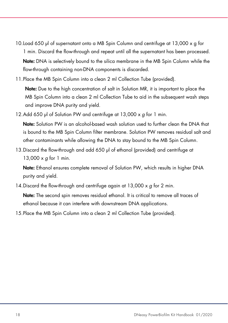- 10.Load 650 µl of supernatant onto a MB Spin Column and centrifuge at 13,000 x g for 1 min. Discard the flow-through and repeat until all the supernatant has been processed. Note: DNA is selectively bound to the silica membrane in the MB Spin Column while the flow-through containing non-DNA components is discarded.
- 11.Place the MB Spin Column into a clean 2 ml Collection Tube (provided).

Note: Due to the high concentration of salt in Solution MR, it is important to place the MB Spin Column into a clean 2 ml Collection Tube to aid in the subsequent wash steps and improve DNA purity and yield.

12.Add 650 µl of Solution PW and centrifuge at  $13,000 \times g$  for 1 min.

Note: Solution PW is an alcohol-based wash solution used to further clean the DNA that is bound to the MB Spin Column filter membrane. Solution PW removes residual salt and other contaminants while allowing the DNA to stay bound to the MB Spin Column.

13.Discard the flow-through and add 650 µl of ethanol (provided) and centrifuge at 13,000 x g for 1 min.

Note: Ethanol ensures complete removal of Solution PW, which results in higher DNA purity and yield.

14. Discard the flow-through and centrifuge again at  $13,000 \times g$  for 2 min.

Note: The second spin removes residual ethanol. It is critical to remove all traces of ethanol because it can interfere with downstream DNA applications.

15.Place the MB Spin Column into a clean 2 ml Collection Tube (provided).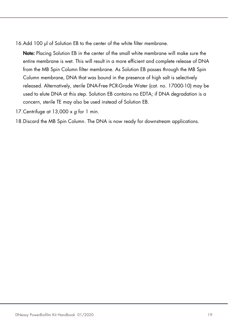16.Add 100 µl of Solution EB to the center of the white filter membrane.

Note: Placing Solution EB in the center of the small white membrane will make sure the entire membrane is wet. This will result in a more efficient and complete release of DNA from the MB Spin Column filter membrane. As Solution EB passes through the MB Spin Column membrane, DNA that was bound in the presence of high salt is selectively released. Alternatively, sterile DNA-Free PCR-Grade Water (cat. no. 17000-10) may be used to elute DNA at this step. Solution EB contains no EDTA; if DNA degradation is a concern, sterile TE may also be used instead of Solution EB.

17. Centrifuge at 13,000  $\times$  g for 1 min.

18.Discard the MB Spin Column. The DNA is now ready for downstream applications.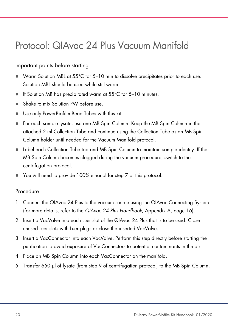### Protocol: QIAvac 24 Plus Vacuum Manifold

#### Important points before starting

- Warm Solution MBL at 55°C for 5-10 min to dissolve precipitates prior to each use. Solution MBL should be used while still warm.
- If Solution MR has precipitated warm at  $55^{\circ}$ C for 5-10 minutes.
- Shake to mix Solution PW before use.
- Use only PowerBiofilm Bead Tubes with this kit.
- For each sample lysate, use one MB Spin Column. Keep the MB Spin Column in the attached 2 ml Collection Tube and continue using the Collection Tube as an MB Spin Column holder until needed for the Vacuum Manifold protocol.
- Label each Collection Tube top and MB Spin Column to maintain sample identity. If the MB Spin Column becomes clogged during the vacuum procedure, switch to the centrifugation protocol.
- You will need to provide 100% ethanol for step 7 of this protocol.

#### Procedure

- 1. Connect the QIAvac 24 Plus to the vacuum source using the QIAvac Connecting System (for more details, refer to the QIAvac 24 Plus Handbook, Appendix A, page 16).
- 2. Insert a VacValve into each Luer slot of the QIAvac 24 Plus that is to be used. Close unused Luer slots with Luer plugs or close the inserted VacValve.
- 3. Insert a VacConnector into each VacValve. Perform this step directly before starting the purification to avoid exposure of VacConnectors to potential contaminants in the air.
- 4. Place an MB Spin Column into each VacConnector on the manifold.
- 5. Transfer 650 µl of lysate (from step 9 of centrifugation protocol) to the MB Spin Column.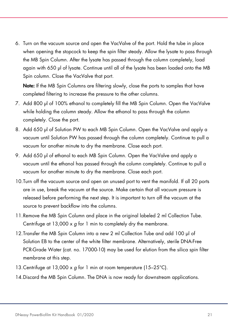6. Turn on the vacuum source and open the VacValve of the port. Hold the tube in place when opening the stopcock to keep the spin filter steady. Allow the lysate to pass through the MB Spin Column. After the lysate has passed through the column completely, load again with 650 µl of lysate. Continue until all of the lysate has been loaded onto the MB Spin column. Close the VacValve that port.

Note: If the MB Spin Columns are filtering slowly, close the ports to samples that have completed filtering to increase the pressure to the other columns.

- 7. Add 800 µl of 100% ethanol to completely fill the MB Spin Column. Open the VacValve while holding the column steady. Allow the ethanol to pass through the column completely. Close the port.
- 8. Add 650 µl of Solution PW to each MB Spin Column. Open the VacValve and apply a vacuum until Solution PW has passed through the column completely. Continue to pull a vacuum for another minute to dry the membrane. Close each port.
- 9. Add 650 µl of ethanol to each MB Spin Column. Open the VacValve and apply a vacuum until the ethanol has passed through the column completely. Continue to pull a vacuum for another minute to dry the membrane. Close each port.
- 10.Turn off the vacuum source and open an unused port to vent the manifold. If all 20 ports are in use, break the vacuum at the source. Make certain that all vacuum pressure is released before performing the next step. It is important to turn off the vacuum at the source to prevent backflow into the columns.
- 11.Remove the MB Spin Column and place in the original labeled 2 ml Collection Tube. Centrifuge at  $13,000 \times q$  for 1 min to completely dry the membrane.
- 12.Transfer the MB Spin Column into a new 2 ml Collection Tube and add 100 µl of Solution EB to the center of the white filter membrane. Alternatively, sterile DNA-Free PCR-Grade Water (cat. no. 17000-10) may be used for elution from the silica spin filter membrane at this step.
- 13. Centrifuge at 13,000  $\times$  g for 1 min at room temperature (15–25°C).
- 14.Discard the MB Spin Column. The DNA is now ready for downstream applications.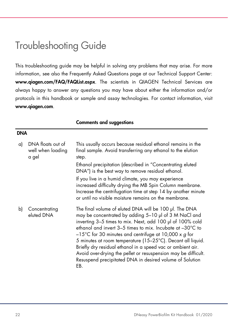### Troubleshooting Guide

This troubleshooting guide may be helpful in solving any problems that may arise. For more information, see also the Frequently Asked Questions page at our Technical Support Center: www.qiagen.com/FAQ/FAQList.aspx. The scientists in QIAGEN Technical Services are always happy to answer any questions you may have about either the information and/or protocols in this handbook or sample and assay technologies. For contact information, visit www.qiagen.com.

#### Comments and suggestions

#### DNA

| a)           | DNA floats out of<br>well when loading<br>a gel | This usually occurs because residual ethanol remains in the<br>final sample. Avoid transferring any ethanol to the elution<br>step.<br>Ethanol precipitation (described in "Concentrating eluted<br>DNA") is the best way to remove residual ethanol.<br>If you live in a humid climate, you may experience<br>increased difficulty drying the MB Spin Column membrane.<br>Increase the centrifugation time at step 14 by another minute<br>or until no visible moisture remains on the membrane.                                                                                           |
|--------------|-------------------------------------------------|---------------------------------------------------------------------------------------------------------------------------------------------------------------------------------------------------------------------------------------------------------------------------------------------------------------------------------------------------------------------------------------------------------------------------------------------------------------------------------------------------------------------------------------------------------------------------------------------|
| $\mathsf{b}$ | Concentrating<br>eluted DNA                     | The final volume of eluted DNA will be 100 µl. The DNA<br>may be concentrated by adding 5-10 µl of 3 M NaCl and<br>inverting 3-5 times to mix. Next, add 100 µl of 100% cold<br>ethanol and invert $3-5$ times to mix. Incubate at $-30^{\circ}$ C to<br>$-15^{\circ}$ C for 30 minutes and centrifuge at 10,000 x g for<br>5 minutes at room temperature (15-25°C). Decant all liquid.<br>Briefly dry residual ethanol in a speed vac or ambient air.<br>Avoid over-drying the pellet or resuspension may be difficult.<br>Resuspend precipitated DNA in desired volume of Solution<br>EB. |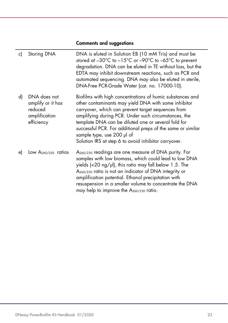### Comments and suggestions

L.

| c) | Storing DNA                                                                 | DNA is eluted in Solution EB (10 mM Tris) and must be<br>stored at $-30^{\circ}$ C to $-15^{\circ}$ C or $-90^{\circ}$ C to $-65^{\circ}$ C to prevent<br>degradation. DNA can be eluted in TE without loss, but the<br>EDTA may inhibit downstream reactions, such as PCR and<br>automated sequencing. DNA may also be eluted in sterile,<br>DNA-Free PCR-Grade Water (cat. no. 17000-10).                                                 |
|----|-----------------------------------------------------------------------------|---------------------------------------------------------------------------------------------------------------------------------------------------------------------------------------------------------------------------------------------------------------------------------------------------------------------------------------------------------------------------------------------------------------------------------------------|
| d) | DNA does not<br>amplify or it has<br>reduced<br>amplification<br>efficiency | Biofilms with high concentrations of humic substances and<br>other contaminants may yield DNA with some inhibitor<br>carryover, which can prevent target sequences from<br>amplifying during PCR. Under such circumstances, the<br>template DNA can be diluted one or several fold for<br>successful PCR. For additional preps of the same or similar<br>sample type, use 200 µl of<br>Solution IRS at step 6 to avoid inhibitor carryover. |
| e) | Low $A_{260/230}$ ratios                                                    | A <sub>260/230</sub> readings are one measure of DNA purity. For<br>samples with low biomass, which could lead to low DNA<br>yields (<20 $\log/\mu$ ), this ratio may fall below 1.5. The<br>A <sub>260/230</sub> ratio is not an indicator of DNA integrity or<br>amplification potential. Ethanol precipitation with<br>resuspension in a smaller volume to concentrate the DNA<br>may help to improve the $A_{260/230}$ ratio.           |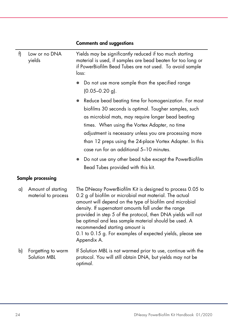| f) | Low or no DNA<br>yields                   | Yields may be significantly reduced if too much starting<br>material is used, if samples are bead beaten for too long or<br>if PowerBiofilm Bead Tubes are not used. To avoid sample<br>loss:                                                                                                                                                                                                                                                                                                                     |  |
|----|-------------------------------------------|-------------------------------------------------------------------------------------------------------------------------------------------------------------------------------------------------------------------------------------------------------------------------------------------------------------------------------------------------------------------------------------------------------------------------------------------------------------------------------------------------------------------|--|
|    |                                           | Do not use more sample than the specified range<br>$\bullet$<br>$(0.05 - 0.20$ g).                                                                                                                                                                                                                                                                                                                                                                                                                                |  |
|    |                                           | Reduce bead beating time for homogenization. For most<br>$\bullet$<br>biofilms 30 seconds is optimal. Tougher samples, such<br>as microbial mats, may require longer bead beating<br>times. When using the Vortex Adapter, no time<br>adjustment is necessary unless you are processing more<br>than 12 preps using the 24-place Vortex Adapter. In this<br>case run for an additional 5-10 minutes.<br>Do not use any other bead tube except the PowerBiofilm<br>$\bullet$<br>Bead Tubes provided with this kit. |  |
|    | Sample processing                         |                                                                                                                                                                                                                                                                                                                                                                                                                                                                                                                   |  |
| a) | Amount of starting<br>material to process | The DNeasy PowerBiofilm Kit is designed to process 0.05 to<br>0.2 g of biofilm or microbial mat material. The actual<br>amount will depend on the type of biofilm and microbial<br>density. If supernatant amounts fall under the range<br>provided in step 5 of the protocol, then DNA yields will not<br>be optimal and less sample material should be used. A<br>recommended starting amount is<br>0.1 to 0.15 g. For examples of expected yields, please see<br>Appendix A.                                   |  |
| b) | Forgetting to warm<br>Solution MBL        | If Solution MBL is not warmed prior to use, continue with the<br>protocol. You will still obtain DNA, but yields may not be<br>optimal.                                                                                                                                                                                                                                                                                                                                                                           |  |

#### Comments and suggestions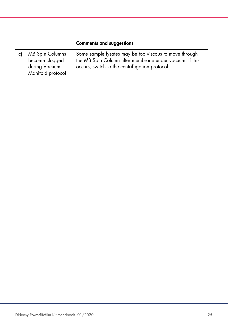#### Comments and suggestions

c) MB Spin Columns become clogged during Vacuum Manifold protocol Some sample lysates may be too viscous to move through the MB Spin Column filter membrane under vacuum. If this occurs, switch to the centrifugation protocol.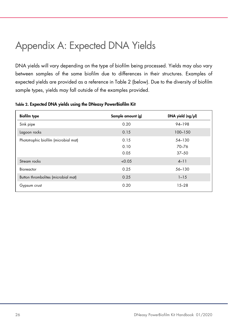### Appendix A: Expected DNA Yields

DNA yields will vary depending on the type of biofilm being processed. Yields may also vary between samples of the same biofilm due to differences in their structures. Examples of expected yields are provided as a reference in Table 2 (below). Due to the diversity of biofilm sample types, yields may fall outside of the examples provided.

| <b>Biofilm type</b>                  | Sample amount (g) | DNA yield $(ng/\mu))$ |
|--------------------------------------|-------------------|-----------------------|
| Sink pipe                            | 0.20              | 94-198                |
| Lagoon rocks                         | 0.15              | 100-150               |
| Phototrophic biofilm (microbial mat) | 0.15              | 54-130                |
|                                      | 0.10              | 70-76                 |
|                                      | 0.05              | $37 - 50$             |
| Stream rocks                         | < 0.05            | $4 - 11$              |
| Bioreactor                           | 0.25              | 56-130                |
| Button thrombolites (microbial mat)  | 0.25              | $1 - 15$              |
| Gypsum crust                         | 0.20              | $15 - 28$             |

Table 2. Expected DNA yields using the DNeasy PowerBiofilm Kit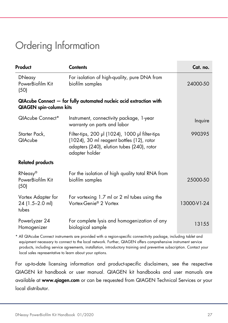### Ordering Information

| Product                                        | <b>Contents</b>                                                                                                                                              | Cat. no.    |
|------------------------------------------------|--------------------------------------------------------------------------------------------------------------------------------------------------------------|-------------|
| <b>DNeasy</b><br>PowerBiofilm Kit<br>(50)      | For isolation of high-quality, pure DNA from<br>biofilm samples                                                                                              | 24000-50    |
| <b>QIAGEN</b> spin-column kits                 | QIAcube Connect - for fully automated nucleic acid extraction with                                                                                           |             |
| QIAcube Connect*                               | Instrument, connectivity package, 1-year<br>warranty on parts and labor                                                                                      | Inquire     |
| Starter Pack,<br><b>QIAcube</b>                | Filter-tips, 200 µl (1024), 1000 µl filter-tips<br>(1024), 30 ml reagent bottles (12), rotor<br>adapters (240), elution tubes (240), rotor<br>adapter holder | 990395      |
| <b>Related products</b>                        |                                                                                                                                                              |             |
| RNeasy®<br>PowerBiofilm Kit<br>(50)            | For the isolation of high quality total RNA from<br>biofilm samples                                                                                          | 25000-50    |
| Vortex Adapter for<br>24 (1.5-2.0 ml)<br>tubes | For vortexing 1.7 ml or 2 ml tubes using the<br>Vortex-Genie® 2 Vortex                                                                                       | 13000-V1-24 |
| PowerLyzer 24<br>Homogenizer                   | For complete lysis and homogenization of any<br>biological sample                                                                                            | 13155       |

\* All QIAcube Connect instruments are provided with a region-specific connectivity package, including tablet and equipment necessary to connect to the local network. Further, QIAGEN offers comprehensive instrument service products, including service agreements, installation, introductory training and preventive subscription. Contact your local sales representative to learn about your options.

For up-to-date licensing information and product-specific disclaimers, see the respective QIAGEN kit handbook or user manual. QIAGEN kit handbooks and user manuals are available at www.qiagen.com or can be requested from QIAGEN Technical Services or your local distributor.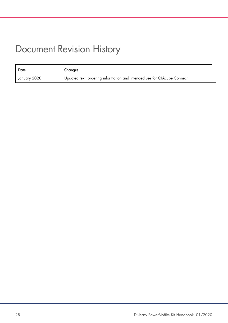### Document Revision History

| Date         | Changes                                                                  |
|--------------|--------------------------------------------------------------------------|
| January 2020 | Updated text, ordering information and intended use for QIAcube Connect. |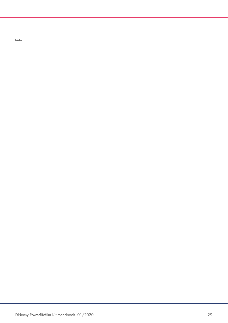**Notes**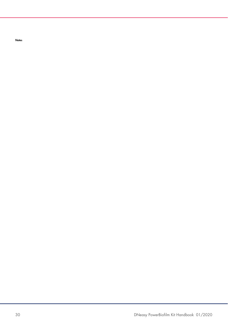**Notes**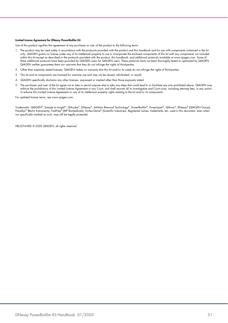#### Limited License Agreement for DNeasy PowerBiofilm Kit

Use of this product signifies the agreement of any purchaser or user of the product to the following terms:

- 1. The product may be used solely in accordance with the protocols provided with the product and this handbook and for use with components contained in the kit only. QIAGEN grants no license under any of its intellectual property to use or incorporate the enclosed components of this kit with any components not included within this kit except as described in the protocols provided with the product, this handbook, and additional protocols available at www.qiagen.com. Some of these additional protocols have been provided by QIAGEN users for QIAGEN users. These protocols have not been thoroughly tested or optimized by QIAGEN. QIAGEN neither guarantees them nor warrants that they do not infringe the rights of third-parties.
- 2. Other than expressly stated licenses, QIAGEN makes no warranty that this kit and/or its use(s) do not infringe the rights of third-parties.
- 3. This kit and its components are licensed for one-time use and may not be reused, refurbished, or resold.
- 4. QIAGEN specifically disclaims any other licenses, expressed or implied other than those expressly stated.
- 5. The purchaser and user of the kit agree not to take or permit anyone else to take any steps that could lead to or facilitate any acts prohibited above. QIAGEN may enforce the prohibitions of this Limited License Agreement in any Court, and shall recover all its investigative and Court costs, including attorney fees, in any action to enforce this Limited License Agreement or any of its intellectual property rights relating to the kit and/or its components.

For updated license terms, see www.qiagen.com.

Trademarks: QIAGEN®, Sample to Insight®, QIAcube®, DNeasy®, Inhibitor Removal Technology®, PowerBiofilm®, PowerLyzer®, QIAvac®, RNeasy® (QIAGEN Group); Precellys® (Bertin Instruments); FastPrep® (MP Biomedicals); Vortex-Genie® (Scientific Industries). Registered names, trademarks, etc. used in this document, even when not specifically marked as such, may still be legally protected.

HB-2274-002 © 2020 QIAGEN, all rights reserved.